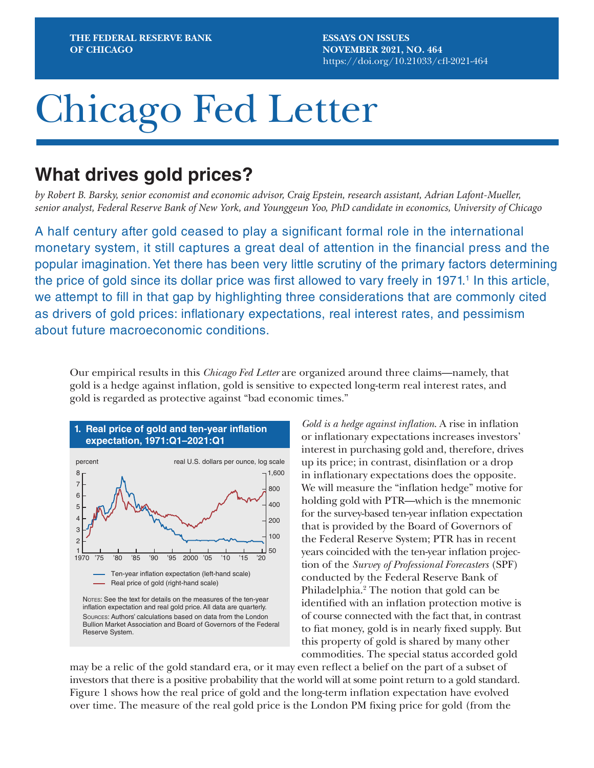**ESSAYS ON ISSUES NOVEMBER 2021, NO. 464** <https://doi.org/10.21033/cfl-2021-464>

# Chicago Fed Letter

# **What drives gold prices?**

*by Robert B. Barsky, senior economist and economic advisor, Craig Epstein, research assistant, Adrian Lafont-Mueller, senior analyst, Federal Reserve Bank of New York, and Younggeun Yoo, PhD candidate in economics, University of Chicago*

A half century after gold ceased to play a significant formal role in the international monetary system, it still captures a great deal of attention in the financial press and the popular imagination. Yet there has been very little scrutiny of the primary factors determining the price of gold since its dollar price was first allowed to vary freely in 1971.<sup>1</sup> In this article, we attempt to fill in that gap by highlighting three considerations that are commonly cited as drivers of gold prices: inflationary expectations, real interest rates, and pessimism about future macroeconomic conditions.

Our empirical results in this *Chicago Fed Letter* are organized around three claims—namely, that gold is a hedge against inflation, gold is sensitive to expected long-term real interest rates, and gold is regarded as protective against "bad economic times."



*Gold is a hedge against inflation*. A rise in inflation or inflationary expectations increases investors' interest in purchasing gold and, therefore, drives up its price; in contrast, disinflation or a drop in inflationary expectations does the opposite. We will measure the "inflation hedge" motive for holding gold with PTR—which is the mnemonic for the survey-based ten-year inflation expectation that is provided by the Board of Governors of the Federal Reserve System; PTR has in recent years coincided with the ten-year inflation projection of the *Survey of Professional Forecasters* (SPF) conducted by the Federal Reserve Bank of Philadelphia.<sup>2</sup> The notion that gold can be identified with an inflation protection motive is of course connected with the fact that, in contrast to fiat money, gold is in nearly fixed supply. But this property of gold is shared by many other commodities. The special status accorded gold

may be a relic of the gold standard era, or it may even reflect a belief on the part of a subset of investors that there is a positive probability that the world will at some point return to a gold standard. Figure 1 shows how the real price of gold and the long-term inflation expectation have evolved over time. The measure of the real gold price is the London PM fixing price for gold (from the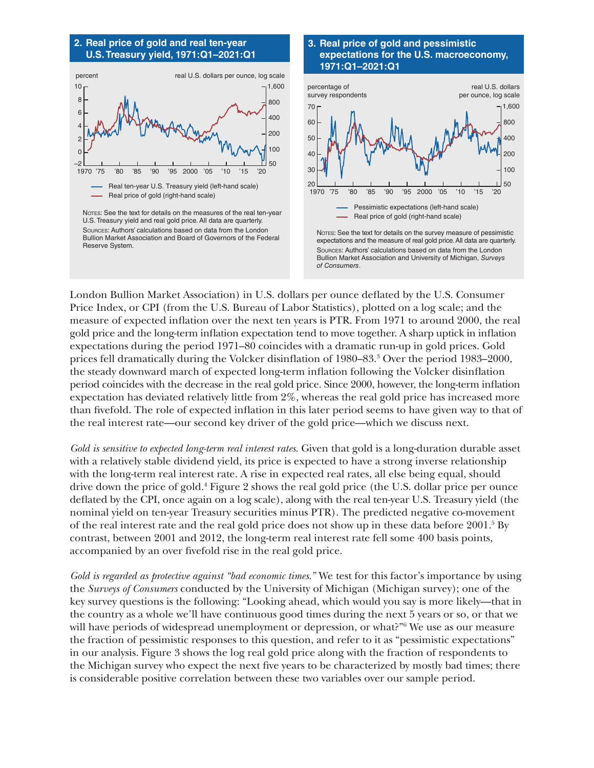



## **3. Real price of gold and pessimistic expectations for the U.S. macroeconomy, 1971:Q1–2021:Q1**



Sources: Authors' calculations based on data from the London Bullion Market Association and University of Michigan, *Surveys of Consumers*.

London Bullion Market Association) in U.S. dollars per ounce deflated by the U.S. Consumer Price Index, or CPI (from the U.S. Bureau of Labor Statistics), plotted on a log scale; and the measure of expected inflation over the next ten years is PTR. From 1971 to around 2000, the real gold price and the long-term inflation expectation tend to move together. A sharp uptick in inflation expectations during the period 1971–80 coincides with a dramatic run-up in gold prices. Gold prices fell dramatically during the Volcker disinflation of 1980–83.3 Over the period 1983–2000, the steady downward march of expected long-term inflation following the Volcker disinflation period coincides with the decrease in the real gold price. Since 2000, however, the long-term inflation expectation has deviated relatively little from 2%, whereas the real gold price has increased more than fivefold. The role of expected inflation in this later period seems to have given way to that of the real interest rate—our second key driver of the gold price—which we discuss next.

*Gold is sensitive to expected long-term real interest rates*. Given that gold is a long-duration durable asset with a relatively stable dividend yield, its price is expected to have a strong inverse relationship with the long-term real interest rate. A rise in expected real rates, all else being equal, should drive down the price of gold.<sup>4</sup> Figure 2 shows the real gold price (the U.S. dollar price per ounce deflated by the CPI, once again on a log scale), along with the real ten-year U.S. Treasury yield (the nominal yield on ten-year Treasury securities minus PTR). The predicted negative co-movement of the real interest rate and the real gold price does not show up in these data before 2001.<sup>5</sup> By contrast, between 2001 and 2012, the long-term real interest rate fell some 400 basis points, accompanied by an over fivefold rise in the real gold price.

*Gold is regarded as protective against "bad economic times."* We test for this factor's importance by using the *Surveys of Consumers* conducted by the University of Michigan (Michigan survey); one of the key survey questions is the following: "Looking ahead, which would you say is more likely—that in the country as a whole we'll have continuous good times during the next 5 years or so, or that we will have periods of widespread unemployment or depression, or what?"6 We use as our measure the fraction of pessimistic responses to this question, and refer to it as "pessimistic expectations" in our analysis. Figure 3 shows the log real gold price along with the fraction of respondents to the Michigan survey who expect the next five years to be characterized by mostly bad times; there is considerable positive correlation between these two variables over our sample period.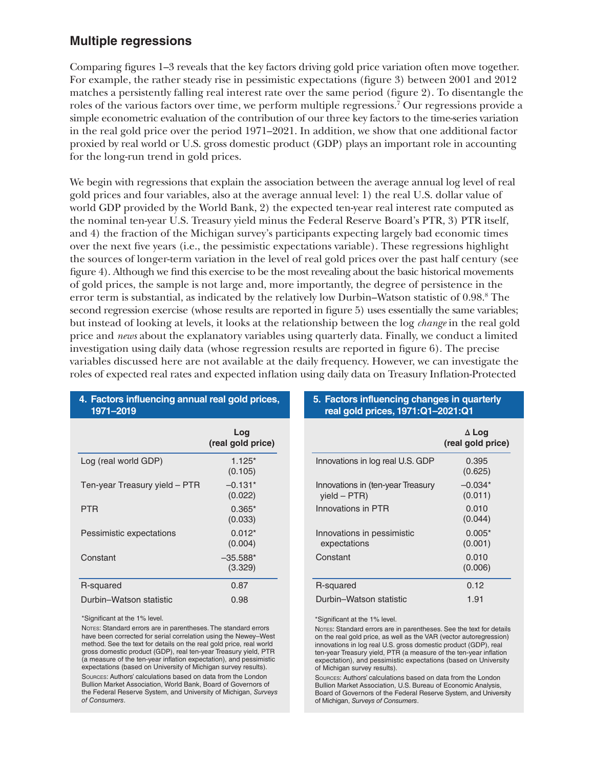# **Multiple regressions**

Comparing figures 1–3 reveals that the key factors driving gold price variation often move together. For example, the rather steady rise in pessimistic expectations (figure 3) between 2001 and 2012 matches a persistently falling real interest rate over the same period (figure 2). To disentangle the roles of the various factors over time, we perform multiple regressions.7 Our regressions provide a simple econometric evaluation of the contribution of our three key factors to the time-series variation in the real gold price over the period 1971–2021. In addition, we show that one additional factor proxied by real world or U.S. gross domestic product (GDP) plays an important role in accounting for the long-run trend in gold prices.

We begin with regressions that explain the association between the average annual log level of real gold prices and four variables, also at the average annual level: 1) the real U.S. dollar value of world GDP provided by the World Bank, 2) the expected ten-year real interest rate computed as the nominal ten-year U.S. Treasury yield minus the Federal Reserve Board's PTR, 3) PTR itself, and 4) the fraction of the Michigan survey's participants expecting largely bad economic times over the next five years (i.e., the pessimistic expectations variable). These regressions highlight the sources of longer-term variation in the level of real gold prices over the past half century (see figure 4). Although we find this exercise to be the most revealing about the basic historical movements of gold prices, the sample is not large and, more importantly, the degree of persistence in the error term is substantial, as indicated by the relatively low Durbin–Watson statistic of 0.98.<sup>8</sup> The second regression exercise (whose results are reported in figure 5) uses essentially the same variables; but instead of looking at levels, it looks at the relationship between the log *change* in the real gold price and *news* about the explanatory variables using quarterly data. Finally, we conduct a limited investigation using daily data (whose regression results are reported in figure 6). The precise variables discussed here are not available at the daily frequency. However, we can investigate the roles of expected real rates and expected inflation using daily data on Treasury Inflation-Protected

| 1971-2019                     |                          |
|-------------------------------|--------------------------|
|                               | Log<br>(real gold price) |
| Log (real world GDP)          | $1.125*$<br>(0.105)      |
| Ten-year Treasury yield - PTR | $-0.131*$<br>(0.022)     |
| <b>PTR</b>                    | $0.365*$<br>(0.033)      |
| Pessimistic expectations      | $0.012*$<br>(0.004)      |
| Constant                      | $-35.588*$<br>(3.329)    |
| R-squared                     | 0.87                     |
| Durbin-Watson statistic       | 0.98                     |

**4. Factors influencing annual real gold prices,** 

\*Significant at the 1% level.

NOTES: Standard errors are in parentheses. The standard errors have been corrected for serial correlation using the Newey–West method. See the text for details on the real gold price, real world gross domestic product (GDP), real ten-year Treasury yield, PTR (a measure of the ten-year inflation expectation), and pessimistic expectations (based on University of Michigan survey results). Sources: Authors' calculations based on data from the London Bullion Market Association, World Bank, Board of Governors of the Federal Reserve System, and University of Michigan, *Surveys of Consumers*.

# **5. Factors influencing changes in quarterly real gold prices, 1971:Q1–2021:Q1**

|                                                     | $\Delta$ Log<br>(real gold price) |
|-----------------------------------------------------|-----------------------------------|
| Innovations in log real U.S. GDP                    | 0.395<br>(0.625)                  |
| Innovations in (ten-year Treasury<br>$vield - PTR)$ | $-0.034*$<br>(0.011)              |
| Innovations in PTR                                  | 0.010<br>(0.044)                  |
| Innovations in pessimistic<br>expectations          | $0.005*$<br>(0.001)               |
| Constant                                            | 0.010<br>(0.006)                  |
| R-squared                                           | 0.12                              |
| Durbin-Watson statistic                             | 1.91                              |

\*Significant at the 1% level.

NOTES: Standard errors are in parentheses. See the text for details on the real gold price, as well as the VAR (vector autoregression) innovations in log real U.S. gross domestic product (GDP), real ten-year Treasury yield, PTR (a measure of the ten-year inflation expectation), and pessimistic expectations (based on University of Michigan survey results).

Sources: Authors' calculations based on data from the London Bullion Market Association, U.S. Bureau of Economic Analysis, Board of Governors of the Federal Reserve System, and University of Michigan, *Surveys of Consumers*.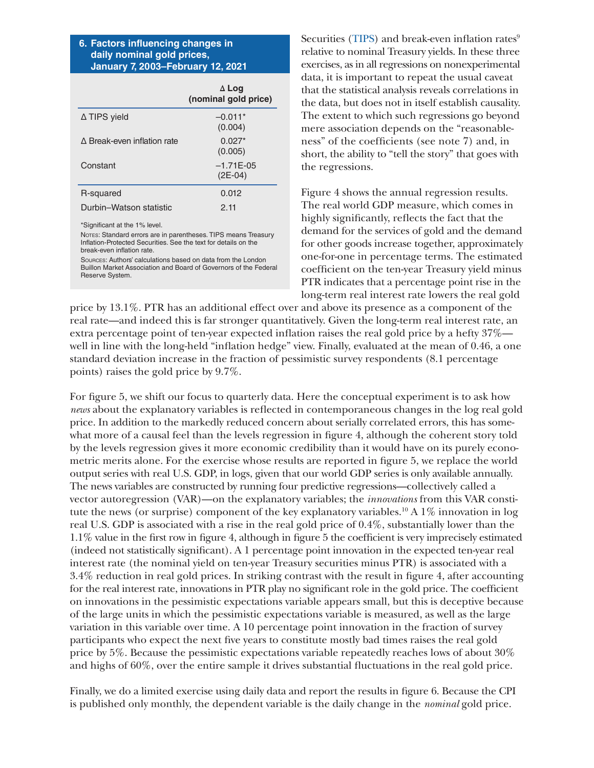### **6. Factors influencing changes in daily nominal gold prices, January 7, 2003–February 12, 2021**

|                             | $\Delta$ Log<br>(nominal gold price) |
|-----------------------------|--------------------------------------|
| ∆ TIPS yield                | $-0.011*$<br>(0.004)                 |
| A Break-even inflation rate | $0.027*$<br>(0.005)                  |
| Constant                    | $-1.71E-0.5$<br>$(2E-04)$            |
| R-squared                   | 0.012                                |
| Durbin-Watson statistic     | 2.11                                 |

\*Significant at the 1% level.

NOTES: Standard errors are in parentheses. TIPS means Treasury Inflation-Protected Securities. See the text for details on the break-even inflation rate.

sources: Authors' calculations based on data from the London Buillon Market Association and Board of Governors of the Federal Reserve System.

Securities [\(TIPS\)](https://www.treasurydirect.gov/indiv/products/prod_tips_glance.htm) and break-even inflation rates $9$ relative to nominal Treasury yields. In these three exercises, as in all regressions on nonexperimental data, it is important to repeat the usual caveat that the statistical analysis reveals correlations in the data, but does not in itself establish causality. The extent to which such regressions go beyond mere association depends on the "reasonableness" of the coefficients (see note 7) and, in short, the ability to "tell the story" that goes with the regressions.

Figure 4 shows the annual regression results. The real world GDP measure, which comes in highly significantly, reflects the fact that the demand for the services of gold and the demand for other goods increase together, approximately one-for-one in percentage terms. The estimated coefficient on the ten-year Treasury yield minus PTR indicates that a percentage point rise in the long-term real interest rate lowers the real gold

price by 13.1%. PTR has an additional effect over and above its presence as a component of the real rate—and indeed this is far stronger quantitatively. Given the long-term real interest rate, an extra percentage point of ten-year expected inflation raises the real gold price by a hefty 37% well in line with the long-held "inflation hedge" view. Finally, evaluated at the mean of 0.46, a one standard deviation increase in the fraction of pessimistic survey respondents (8.1 percentage points) raises the gold price by 9.7%.

For figure 5, we shift our focus to quarterly data. Here the conceptual experiment is to ask how *news* about the explanatory variables is reflected in contemporaneous changes in the log real gold price. In addition to the markedly reduced concern about serially correlated errors, this has somewhat more of a causal feel than the levels regression in figure 4, although the coherent story told by the levels regression gives it more economic credibility than it would have on its purely econometric merits alone. For the exercise whose results are reported in figure 5, we replace the world output series with real U.S. GDP, in logs, given that our world GDP series is only available annually. The news variables are constructed by running four predictive regressions—collectively called a vector autoregression (VAR)—on the explanatory variables; the *innovations* from this VAR constitute the news (or surprise) component of the key explanatory variables.10 A 1% innovation in log real U.S. GDP is associated with a rise in the real gold price of 0.4%, substantially lower than the 1.1% value in the first row in figure 4, although in figure 5 the coefficient is very imprecisely estimated (indeed not statistically significant). A 1 percentage point innovation in the expected ten-year real interest rate (the nominal yield on ten-year Treasury securities minus PTR) is associated with a 3.4% reduction in real gold prices. In striking contrast with the result in figure 4, after accounting for the real interest rate, innovations in PTR play no significant role in the gold price. The coefficient on innovations in the pessimistic expectations variable appears small, but this is deceptive because of the large units in which the pessimistic expectations variable is measured, as well as the large variation in this variable over time. A 10 percentage point innovation in the fraction of survey participants who expect the next five years to constitute mostly bad times raises the real gold price by 5%. Because the pessimistic expectations variable repeatedly reaches lows of about 30% and highs of 60%, over the entire sample it drives substantial fluctuations in the real gold price.

Finally, we do a limited exercise using daily data and report the results in figure 6. Because the CPI is published only monthly, the dependent variable is the daily change in the *nominal* gold price.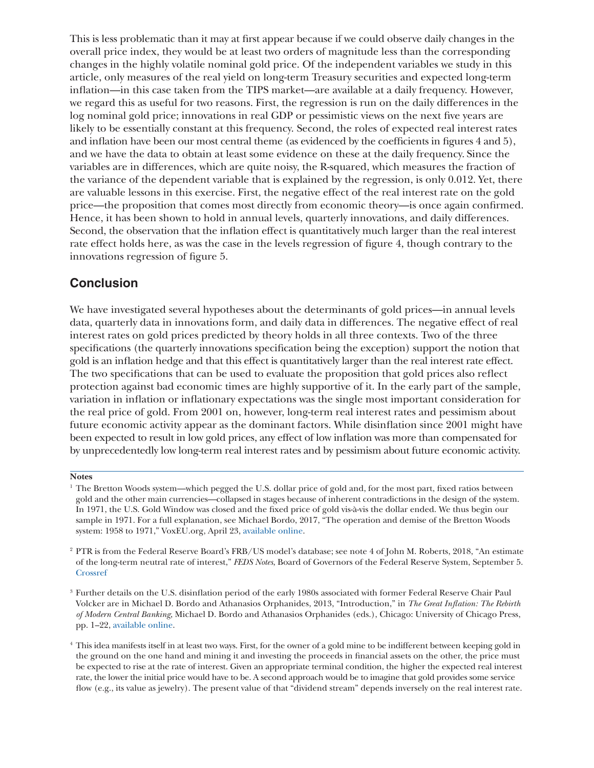This is less problematic than it may at first appear because if we could observe daily changes in the overall price index, they would be at least two orders of magnitude less than the corresponding changes in the highly volatile nominal gold price. Of the independent variables we study in this article, only measures of the real yield on long-term Treasury securities and expected long-term inflation—in this case taken from the TIPS market—are available at a daily frequency. However, we regard this as useful for two reasons. First, the regression is run on the daily differences in the log nominal gold price; innovations in real GDP or pessimistic views on the next five years are likely to be essentially constant at this frequency. Second, the roles of expected real interest rates and inflation have been our most central theme (as evidenced by the coefficients in figures 4 and 5), and we have the data to obtain at least some evidence on these at the daily frequency. Since the variables are in differences, which are quite noisy, the R-squared, which measures the fraction of the variance of the dependent variable that is explained by the regression, is only 0.012. Yet, there are valuable lessons in this exercise. First, the negative effect of the real interest rate on the gold price—the proposition that comes most directly from economic theory—is once again confirmed. Hence, it has been shown to hold in annual levels, quarterly innovations, and daily differences. Second, the observation that the inflation effect is quantitatively much larger than the real interest rate effect holds here, as was the case in the levels regression of figure 4, though contrary to the innovations regression of figure 5.

# **Conclusion**

We have investigated several hypotheses about the determinants of gold prices—in annual levels data, quarterly data in innovations form, and daily data in differences. The negative effect of real interest rates on gold prices predicted by theory holds in all three contexts. Two of the three specifications (the quarterly innovations specification being the exception) support the notion that gold is an inflation hedge and that this effect is quantitatively larger than the real interest rate effect. The two specifications that can be used to evaluate the proposition that gold prices also reflect protection against bad economic times are highly supportive of it. In the early part of the sample, variation in inflation or inflationary expectations was the single most important consideration for the real price of gold. From 2001 on, however, long-term real interest rates and pessimism about future economic activity appear as the dominant factors. While disinflation since 2001 might have been expected to result in low gold prices, any effect of low inflation was more than compensated for by unprecedentedly low long-term real interest rates and by pessimism about future economic activity.

#### **Notes**

<sup>&</sup>lt;sup>1</sup> The Bretton Woods system—which pegged the U.S. dollar price of gold and, for the most part, fixed ratios between gold and the other main currencies—collapsed in stages because of inherent contradictions in the design of the system. In 1971, the U.S. Gold Window was closed and the fixed price of gold vis-à-vis the dollar ended. We thus begin our sample in 1971. For a full explanation, see Michael Bordo, 2017, "The operation and demise of the Bretton Woods system: 1958 to 1971," VoxEU.org, April 23, [available online](https://voxeu.org/article/operation-and-demise-bretton-woods-system).

<sup>2</sup> PTR is from the Federal Reserve Board's FRB/US model's database; see note 4 of John M. Roberts, 2018, "An estimate of the long-term neutral rate of interest," *FEDS Notes*, Board of Governors of the Federal Reserve System, September 5. [Crossref](https://doi.org/10.17016/2380-7172.2227)

<sup>3</sup> Further details on the U.S. disinflation period of the early 1980s associated with former Federal Reserve Chair Paul Volcker are in Michael D. Bordo and Athanasios Orphanides, 2013, "Introduction," in *The Great Inflation: The Rebirth of Modern Central Banking*, Michael D. Bordo and Athanasios Orphanides (eds.), Chicago: University of Chicago Press, pp. 1–22, [available online](https://www.nber.org/system/files/chapters/c9155/c9155.pdf).

<sup>4</sup> This idea manifests itself in at least two ways. First, for the owner of a gold mine to be indifferent between keeping gold in the ground on the one hand and mining it and investing the proceeds in financial assets on the other, the price must be expected to rise at the rate of interest. Given an appropriate terminal condition, the higher the expected real interest rate, the lower the initial price would have to be. A second approach would be to imagine that gold provides some service flow (e.g., its value as jewelry). The present value of that "dividend stream" depends inversely on the real interest rate.